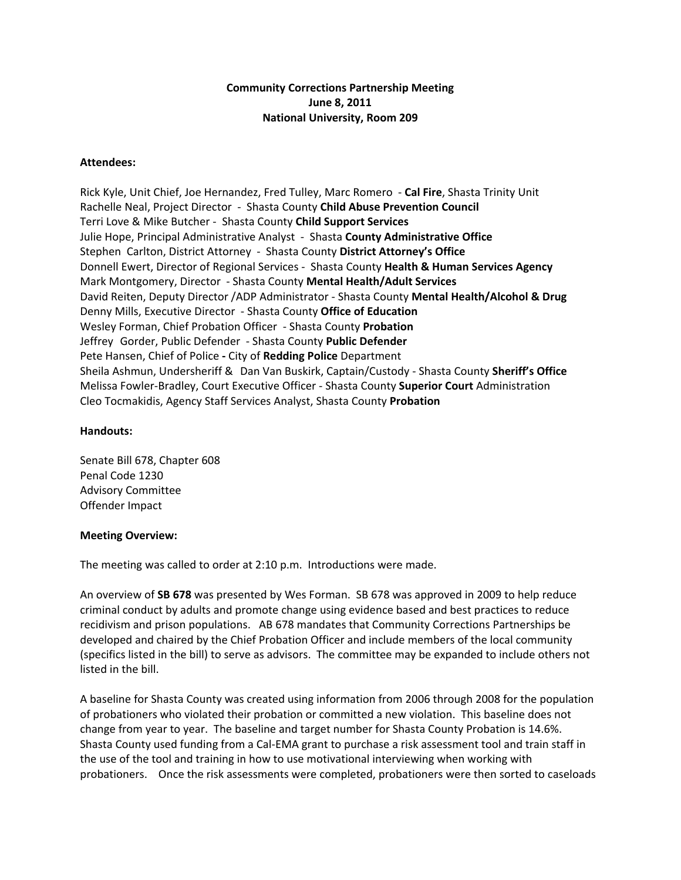## **Community Corrections Partnership Meeting June 8, 2011 National University, Room 209**

## **Attendees:**

Rick Kyle, Unit Chief, Joe Hernandez, Fred Tulley, Marc Romero ‐ **Cal Fire**, Shasta Trinity Unit Rachelle Neal, Project Director ‐ Shasta County **Child Abuse Prevention Council** Terri Love & Mike Butcher ‐ Shasta County **Child Support Services** Julie Hope, Principal Administrative Analyst ‐ Shasta **County Administrative Office**  Stephen Carlton, District Attorney ‐ Shasta County **District Attorney's Office** Donnell Ewert, Director of Regional Services ‐ Shasta County **Health & Human Services Agency** Mark Montgomery, Director ‐ Shasta County **Mental Health/Adult Services** David Reiten, Deputy Director /ADP Administrator ‐ Shasta County **Mental Health/Alcohol & Drug**  Denny Mills, Executive Director ‐ Shasta County **Office of Education** Wesley Forman, Chief Probation Officer ‐ Shasta County **Probation** Jeffrey Gorder, Public Defender ‐ Shasta County **Public Defender** Pete Hansen, Chief of Police **‐** City of **Redding Police** Department Sheila Ashmun, Undersheriff & Dan Van Buskirk, Captain/Custody ‐ Shasta County **Sheriff's Office** Melissa Fowler‐Bradley, Court Executive Officer ‐ Shasta County **Superior Court** Administration Cleo Tocmakidis, Agency Staff Services Analyst, Shasta County **Probation**

## **Handouts:**

Senate Bill 678, Chapter 608 Penal Code 1230 Advisory Committee Offender Impact

## **Meeting Overview:**

The meeting was called to order at 2:10 p.m. Introductions were made.

An overview of **SB 678** was presented by Wes Forman. SB 678 was approved in 2009 to help reduce criminal conduct by adults and promote change using evidence based and best practices to reduce recidivism and prison populations. AB 678 mandates that Community Corrections Partnerships be developed and chaired by the Chief Probation Officer and include members of the local community (specifics listed in the bill) to serve as advisors. The committee may be expanded to include others not listed in the bill.

A baseline for Shasta County was created using information from 2006 through 2008 for the population of probationers who violated their probation or committed a new violation. This baseline does not change from year to year. The baseline and target number for Shasta County Probation is 14.6%. Shasta County used funding from a Cal‐EMA grant to purchase a risk assessment tool and train staff in the use of the tool and training in how to use motivational interviewing when working with probationers. Once the risk assessments were completed, probationers were then sorted to caseloads